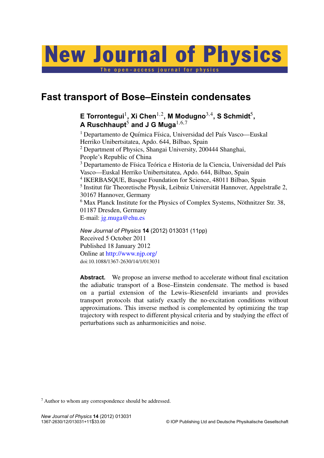# New Journal of Physics

The open-access journal for physics

# **Fast transport of Bose–Einstein condensates**

**E Torrontegui**<sup>1</sup> **, Xi Chen**1,<sup>2</sup> **, M Modugno**3,<sup>4</sup> **, S Schmidt**<sup>5</sup> **, A Ruschhaupt**<sup>5</sup> **and J G Muga**1,6,<sup>7</sup>

<sup>1</sup> Departamento de Química Física, Universidad del País Vasco—Euskal Herriko Unibertsitatea, Apdo. 644, Bilbao, Spain <sup>2</sup> Department of Physics, Shangai University, 200444 Shanghai, People's Republic of China <sup>3</sup> Departamento de Física Teórica e Historia de la Ciencia, Universidad del País Vasco—Euskal Herriko Unibertsitatea, Apdo. 644, Bilbao, Spain 4 IKERBASQUE, Basque Foundation for Science, 48011 Bilbao, Spain <sup>5</sup> Institut für Theoretische Physik, Leibniz Universität Hannover, Appelstraße 2, 30167 Hannover, Germany  $6$  Max Planck Institute for the Physics of Complex Systems, Nöthnitzer Str. 38, 01187 Dresden, Germany E-mail: [jg.muga@ehu.es](mailto:jg.muga@ehu.es) *New Journal of Physics* **14** (2012) 013031 (11pp)

Received 5 October 2011 Published 18 January 2012 Online at <http://www.njp.org/> doi:10.1088/1367-2630/14/1/013031

**Abstract.** We propose an inverse method to accelerate without final excitation the adiabatic transport of a Bose–Einstein condensate. The method is based on a partial extension of the Lewis–Riesenfeld invariants and provides transport protocols that satisfy exactly the no-excitation conditions without approximations. This inverse method is complemented by optimizing the trap trajectory with respect to different physical criteria and by studying the effect of perturbations such as anharmonicities and noise.

<sup>7</sup> Author to whom any correspondence should be addressed.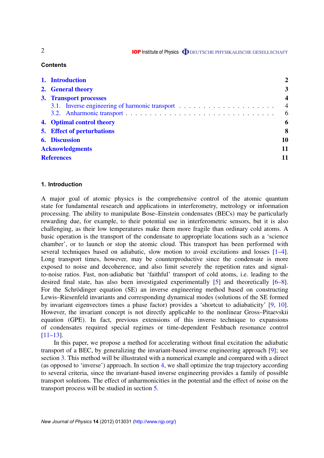**IOP** Institute of Physics **ODEUTSCHE PHYSIKALISCHE GESELLSCHAFT** 

## **Contents**

| 1. Introduction                                | 2                       |
|------------------------------------------------|-------------------------|
| 2. General theory                              | 3                       |
| 3. Transport processes                         | $\overline{\mathbf{4}}$ |
| 3.1. Inverse engineering of harmonic transport | $\overline{4}$          |
|                                                | 6                       |
| 4. Optimal control theory                      | 6                       |
| <b>5.</b> Effect of perturbations              | 8                       |
| <b>6. Discussion</b>                           | 10                      |
| <b>Acknowledgments</b>                         | 11                      |
| <b>References</b>                              | 11                      |

# **1. Introduction**

A major goal of atomic physics is the comprehensive control of the atomic quantum state for fundamental research and applications in interferometry, metrology or information processing. The ability to manipulate Bose–Einstein condensates (BECs) may be particularly rewarding due, for example, to their potential use in interferometric sensors, but it is also challenging, as their low temperatures make them more fragile than ordinary cold atoms. A basic operation is the transport of the condensate to appropriate locations such as a 'science chamber', or to launch or stop the atomic cloud. This transport has been performed with several techniques based on adiabatic, slow motion to avoid excitations and losses [\[1–4\]](#page-10-0). Long transport times, however, may be counterproductive since the condensate is more exposed to noise and decoherence, and also limit severely the repetition rates and signalto-noise ratios. Fast, non-adiabatic but 'faithful' transport of cold atoms, i.e. leading to the desired final state, has also been investigated experimentally [\[5\]](#page-10-0) and theoretically [\[6–8\]](#page-10-0). For the Schrödinger equation (SE) an inverse engineering method based on constructing Lewis–Riesenfeld invariants and corresponding dynamical modes (solutions of the SE formed by invariant eigenvectors times a phase factor) provides a 'shortcut to adiabaticity' [\[9,](#page-10-0) [10\]](#page-10-0). However, the invariant concept is not directly applicable to the nonlinear Gross–Pitaevskii equation (GPE). In fact, previous extensions of this inverse technique to expansions of condensates required special regimes or time-dependent Feshbach resonance control [\[11–13\]](#page-10-0).

In this paper, we propose a method for accelerating without final excitation the adiabatic transport of a BEC, by generalizing the invariant-based inverse engineering approach [\[9\]](#page-10-0); see section [3.](#page-2-0) This method will be illustrated with a numerical example and compared with a direct (as opposed to 'inverse') approach. In section [4,](#page-5-0) we shall optimize the trap trajectory according to several criteria, since the invariant-based inverse engineering provides a family of possible transport solutions. The effect of anharmonicities in the potential and the effect of noise on the transport process will be studied in section [5.](#page-7-0)

2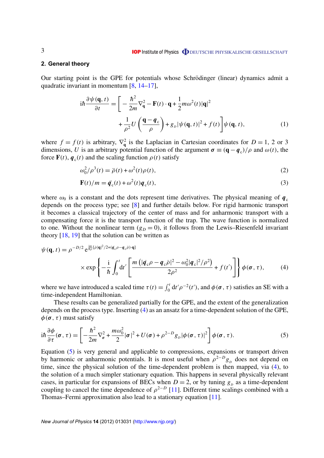#### <span id="page-2-0"></span>**2. General theory**

Our starting point is the GPE for potentials whose Schrödinger (linear) dynamics admit a quadratic invariant in momentum [\[8,](#page-10-0) [14–17\]](#page-10-0),

$$
i\hbar \frac{\partial \psi(\mathbf{q},t)}{\partial t} = \left[ -\frac{\hbar^2}{2m} \nabla_{\mathbf{q}}^2 - \mathbf{F}(t) \cdot \mathbf{q} + \frac{1}{2} m \omega^2(t) |\mathbf{q}|^2 + \frac{1}{\rho^2} U \left( \frac{\mathbf{q} - \mathbf{q}_c}{\rho} \right) + g_D |\psi(\mathbf{q},t)|^2 + f(t) \right] \psi(\mathbf{q},t), \tag{1}
$$

where  $f = f(t)$  is arbitrary,  $\nabla_q^2$  is the Laplacian in Cartesian coordinates for  $D = 1, 2$  or 3 dimensions, *U* is an arbitrary potential function of the argument  $\sigma \equiv (\mathbf{q} - \mathbf{q}_c)/\rho$  and  $\omega(t)$ , the force  $\mathbf{F}(t)$ ,  $\mathbf{q}_c(t)$  and the scaling function  $\rho(t)$  satisfy

$$
\omega_0^2/\rho^3(t) = \ddot{\rho}(t) + \omega^2(t)\rho(t),\tag{2}
$$

$$
\mathbf{F}(t)/m = \ddot{\boldsymbol{q}}_c(t) + \omega^2(t)\boldsymbol{q}_c(t),
$$
\n(3)

where  $\omega_0$  is a constant and the dots represent time derivatives. The physical meaning of  $q_c$ depends on the process type; see [\[8\]](#page-10-0) and further details below. For rigid harmonic transport it becomes a classical trajectory of the center of mass and for anharmonic transport with a compensating force it is the transport function of the trap. The wave function is normalized to one. Without the nonlinear term  $(g_D = 0)$ , it follows from the Lewis–Riesenfeld invariant theory [\[18,](#page-10-0) [19\]](#page-10-0) that the solution can be written as

$$
\psi(\mathbf{q},t) = \rho^{-D/2} e^{\frac{i m}{\hbar \rho} [\dot{\rho}|\mathbf{q}]^2 / 2 + (\dot{q}_c \rho - \dot{q}_c \dot{\rho}) \cdot \mathbf{q}]} \times \exp\left\{-\frac{i}{\hbar} \int_0^t dt' \left[ \frac{m\left(|\dot{q}_c \rho - \dot{q}_c \dot{\rho}|^2 - \omega_0^2 |\dot{q}_c|^2 / \rho^2\right)}{2\rho^2} + f(t')\right] \right\} \phi(\boldsymbol{\sigma},\tau),\tag{4}
$$

where we have introduced a scaled time  $\tau(t) = \int_0^t dt' \rho^{-2}(t')$ , and  $\phi(\sigma, \tau)$  satisfies an SE with a time-independent Hamiltonian.

These results can be generalized partially for the GPE, and the extent of the generalization depends on the process type. Inserting (4) as an ansatz for a time-dependent solution of the GPE,  $\phi(\sigma, \tau)$  must satisfy

$$
i\hbar \frac{\partial \phi}{\partial \tau}(\boldsymbol{\sigma}, \tau) = \left[ -\frac{\hbar^2}{2m} \nabla_{\boldsymbol{\sigma}}^2 + \frac{m\omega_0^2}{2} |\boldsymbol{\sigma}|^2 + U(\boldsymbol{\sigma}) + \rho^{2-D} g_D |\phi(\boldsymbol{\sigma}, \tau)|^2 \right] \phi(\boldsymbol{\sigma}, \tau).
$$
 (5)

Equation (5) is very general and applicable to compressions, expansions or transport driven by harmonic or anharmonic potentials. It is most useful when  $\rho^{2-D}g_D$  does not depend on time, since the physical solution of the time-dependent problem is then mapped, via (4), to the solution of a much simpler stationary equation. This happens in several physically relevant cases, in particular for expansions of BECs when  $D = 2$ , or by tuning  $g<sub>D</sub>$  as a time-dependent coupling to cancel the time dependence of  $\rho^{2-D}$  [\[11\]](#page-10-0). Different time scalings combined with a Thomas–Fermi approximation also lead to a stationary equation [\[11\]](#page-10-0).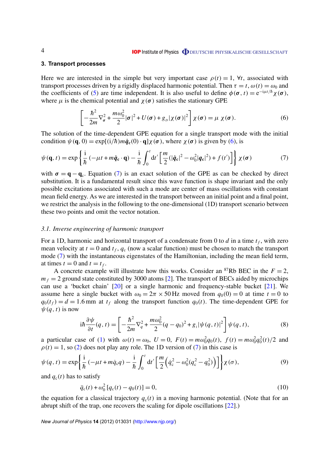#### <span id="page-3-0"></span>**3. Transport processes**

Here we are interested in the simple but very important case  $\rho(t) = 1$ ,  $\forall t$ , associated with transport processes driven by a rigidly displaced harmonic potential. Then  $\tau = t$ ,  $\omega(t) = \omega_0$  and the coefficients of [\(5\)](#page-2-0) are time independent. It is also useful to define  $\phi(\sigma, t) = e^{-i\mu t/\hbar} \chi(\sigma)$ , where  $\mu$  is the chemical potential and  $\chi(\sigma)$  satisfies the stationary GPE

$$
\left[-\frac{\hbar^2}{2m}\nabla_{\sigma}^2 + \frac{m\omega_0^2}{2}|\sigma|^2 + U(\sigma) + g_D|\chi(\sigma)|^2\right]\chi(\sigma) = \mu \chi(\sigma).
$$
 (6)

The solution of the time-dependent GPE equation for a single transport mode with the initial condition  $\psi(\mathbf{q}, 0) = \exp[(i/\hbar) m \dot{q}_c(0) \cdot \mathbf{q}] \chi(\sigma)$ , where  $\chi(\sigma)$  is given by (6), is

$$
\psi(\mathbf{q},t) = \exp\left\{\frac{i}{\hbar} \left(-\mu t + m\dot{\mathbf{q}}_{\mathbf{c}} \cdot \mathbf{q}\right) - \frac{i}{\hbar} \int_0^t dt' \left[\frac{m}{2} (|\dot{\mathbf{q}}_{\mathbf{c}}|^2 - \omega_0^2 |\mathbf{q}_{\mathbf{c}}|^2) + f(t')\right]\right\} \chi(\boldsymbol{\sigma})
$$
(7)

with  $\sigma = \mathbf{q} - \mathbf{q}_c$ . Equation (7) is an exact solution of the GPE as can be checked by direct substitution. It is a fundamental result since this wave function is shape invariant and the only possible excitations associated with such a mode are center of mass oscillations with constant mean field energy. As we are interested in the transport between an initial point and a final point, we restrict the analysis in the following to the one-dimensional (1D) transport scenario between these two points and omit the vector notation.

#### *3.1. Inverse engineering of harmonic transport*

For a 1D, harmonic and horizontal transport of a condensate from 0 to  $d$  in a time  $t_f$ , with zero mean velocity at  $t = 0$  and  $t_f$ ,  $q_c$  (now a scalar function) must be chosen to match the transport mode (7) with the instantaneous eigenstates of the Hamiltonian, including the mean field term, at times  $t = 0$  and  $t = t_f$ .

A concrete example will illustrate how this works. Consider an <sup>87</sup>Rb BEC in the  $F = 2$ ,  $m_f = 2$  ground state constituted by 3000 atoms [\[2\]](#page-10-0). The transport of BECs aided by microchips can use a 'bucket chain' [\[20\]](#page-10-0) or a single harmonic and frequency-stable bucket [\[21\]](#page-10-0). We assume here a single bucket with  $\omega_0 = 2\pi \times 50$  Hz moved from  $q_0(0) = 0$  at time  $t = 0$  to  $q_0(t_f) = d = 1.6$  mm at  $t_f$  along the transport function  $q_0(t)$ . The time-dependent GPE for  $\psi(q, t)$  is now

$$
i\hbar \frac{\partial \psi}{\partial t}(q, t) = \left[ -\frac{\hbar^2}{2m} \nabla_q^2 + \frac{m\omega_0^2}{2}(q - q_0)^2 + g_1 |\psi(q, t)|^2 \right] \psi(q, t), \tag{8}
$$

a particular case of [\(1\)](#page-2-0) with  $\omega(t) = \omega_0$ ,  $U = 0$ ,  $F(t) = m\omega_0^2 q_0(t)$ ,  $f(t) = m\omega_0^2 q_0^2(t)/2$  and  $\rho(t) = 1$ , so [\(2\)](#page-2-0) does not play any role. The 1D version of (7) in this case is

$$
\psi(q,t) = \exp\left\{\frac{i}{\hbar}(-\mu t + m\dot{q}_c q) - \frac{i}{\hbar} \int_0^t dt' \left[\frac{m}{2}(\dot{q}_c^2 - \omega_0^2 (q_c^2 - q_0^2))\right]\right\} \chi(\sigma),\tag{9}
$$

and  $q_c(t)$  has to satisfy

$$
\ddot{q}_c(t) + \omega_0^2 [q_c(t) - q_0(t)] = 0,
$$
\n(10)

the equation for a classical trajectory  $q_c(t)$  in a moving harmonic potential. (Note that for an abrupt shift of the trap, one recovers the scaling for dipole oscillations [\[22\]](#page-10-0).)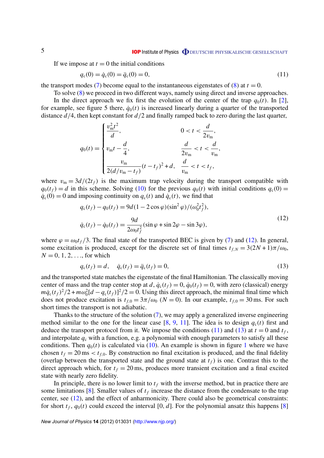#### **IOP** Institute of Physics **ODEUTSCHE PHYSIKALISCHE GESELLSCHAFT**

<span id="page-4-0"></span>If we impose at  $t = 0$  the initial conditions

$$
q_c(0) = \dot{q}_c(0) = \ddot{q}_c(0) = 0,\tag{11}
$$

the transport modes [\(7\)](#page-3-0) become equal to the instantaneous eigenstates of [\(8\)](#page-3-0) at  $t = 0$ .

To solve [\(8\)](#page-3-0) we proceed in two different ways, namely using direct and inverse approaches.

In the direct approach we fix first the evolution of the center of the trap  $q_0(t)$ . In [\[2\]](#page-10-0), for example, see figure 5 there,  $\dot{q}_0(t)$  is increased linearly during a quarter of the transported distance *d*/4, then kept constant for *d*/2 and finally ramped back to zero during the last quarter,

$$
q_0(t) = \begin{cases} \frac{v_{\rm m}^2 t^2}{d}, & 0 < t < \frac{d}{2v_{\rm m}},\\ v_{\rm m}t - \frac{d}{4}, & \frac{d}{2v_{\rm m}} < t < \frac{d}{v_{\rm m}},\\ \frac{v_{\rm m}}{2(d/v_{\rm m} - t_f)}(t - t_f)^2 + d, & \frac{d}{v_{\rm m}} < t < t_f, \end{cases}
$$

where  $v_m = 3d/(2t_f)$  is the maximum trap velocity during the transport compatible with  $q_0(t_f) = d$  in this scheme. Solving [\(10\)](#page-3-0) for the previous  $q_0(t)$  with initial conditions  $q_c(0) =$  $\dot{q}_c(0) = 0$  and imposing continuity on  $q_c(t)$  and  $\dot{q}_c(t)$ , we find that

$$
q_c(t_f) - q_0(t_f) = 9d(1 - 2\cos\varphi)(\sin^2\varphi)/(\omega_0^2 t_f^2),
$$
  
\n
$$
\dot{q}_c(t_f) - \dot{q}_0(t_f) = \frac{9d}{2\omega_0 t_f^2} (\sin\varphi + \sin 2\varphi - \sin 3\varphi),
$$
\n(12)

where  $\varphi = \omega_0 t_f/3$ . The final state of the transported BEC is given by [\(7\)](#page-3-0) and (12). In general, some excitation is produced, except for the discrete set of final times  $t_{f,N} = 3(2N + 1)\pi/\omega_0$ ,  $N = 0, 1, 2, \ldots$ , for which

$$
q_{c}(t_{f}) = d, \quad \dot{q}_{c}(t_{f}) = \ddot{q}_{c}(t_{f}) = 0,
$$
\n(13)

and the transported state matches the eigenstate of the final Hamiltonian. The classically moving center of mass and the trap center stop at *d*,  $\dot{q}_c(t_f) = 0$ ,  $\dot{q}_0(t_f) = 0$ , with zero (classical) energy  $m\dot{q}_c(t_f)^2/2 + m\omega_0^2[d - q_c(t_f)]^2/2 = 0$ . Using this direct approach, the minimal final time which does not produce excitation is  $t_{f,0} = 3\pi/\omega_0$  ( $N = 0$ ). In our example,  $t_{f,0} = 30$  ms. For such short times the transport is not adiabatic.

Thanks to the structure of the solution [\(7\)](#page-3-0), we may apply a generalized inverse engineering method similar to the one for the linear case  $[8, 9, 11]$  $[8, 9, 11]$  $[8, 9, 11]$  $[8, 9, 11]$  $[8, 9, 11]$ . The idea is to design  $q_c(t)$  first and deduce the transport protocol from it. We impose the conditions (11) and (13) at  $t = 0$  and  $t_f$ , and interpolate  $q_c$  with a function, e.g. a polynomial with enough parameters to satisfy all these conditions. Then  $q_0(t)$  is calculated via [\(10\)](#page-3-0). An example is shown in figure [1](#page-5-0) where we have chosen  $t_f = 20 \text{ ms} < t_{f,0}$ . By construction no final excitation is produced, and the final fidelity (overlap between the transported state and the ground state at  $t_f$ ) is one. Contrast this to the direct approach which, for  $t_f = 20$  ms, produces more transient excitation and a final excited state with nearly zero fidelity.

In principle, there is no lower limit to  $t_f$  with the inverse method, but in practice there are some limitations [\[8\]](#page-10-0). Smaller values of  $t_f$  increase the distance from the condensate to the trap center, see (12), and the effect of anharmonicity. There could also be geometrical constraints: for short  $t_f$ ,  $q_0(t)$  could exceed the interval [0, *d*]. For the polynomial ansatz this happens [\[8\]](#page-10-0)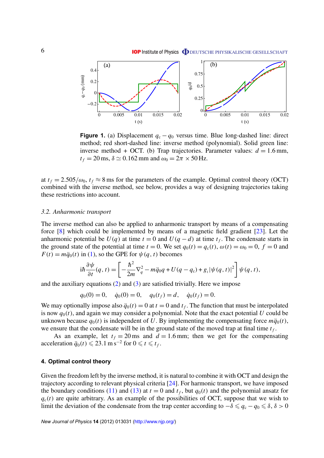<span id="page-5-0"></span>

**Figure 1.** (a) Displacement  $q_c - q_0$  versus time. Blue long-dashed line: direct method; red short-dashed line: inverse method (polynomial). Solid green line: inverse method + OCT. (b) Trap trajectories. Parameter values:  $d = 1.6$  mm,  $t_f = 20$  ms,  $\delta \simeq 0.162$  mm and  $\omega_0 = 2\pi \times 50$  Hz.

at  $t_f = 2.505/\omega_0$ ,  $t_f \approx 8$  ms for the parameters of the example. Optimal control theory (OCT) combined with the inverse method, see below, provides a way of designing trajectories taking these restrictions into account.

#### *3.2. Anharmonic transport*

The inverse method can also be applied to anharmonic transport by means of a compensating force [\[8\]](#page-10-0) which could be implemented by means of a magnetic field gradient [\[23\]](#page-10-0). Let the anharmonic potential be  $U(q)$  at time  $t = 0$  and  $U(q - d)$  at time  $t_f$ . The condensate starts in the ground state of the potential at time  $t = 0$ . We set  $q_0(t) = q_c(t)$ ,  $\omega(t) = \omega_0 = 0$ ,  $f = 0$  and  $F(t) = m\ddot{q}_0(t)$  in [\(1\)](#page-2-0), so the GPE for  $\psi(q, t)$  becomes

$$
i\hbar \frac{\partial \psi}{\partial t}(q, t) = \left[ -\frac{\hbar^2}{2m} \nabla_q^2 - m\ddot{q}_0 q + U(q - q_c) + g_1 |\psi(q, t)|^2 \right] \psi(q, t),
$$

and the auxiliary equations  $(2)$  and  $(3)$  are satisfied trivially. Here we impose

$$
q_0(0) = 0
$$
,  $\dot{q}_0(0) = 0$ ,  $q_0(t_f) = d$ ,  $\dot{q}_0(t_f) = 0$ .

We may optionally impose also  $\ddot{q}_0(t) = 0$  at  $t = 0$  and  $t_f$ . The function that must be interpolated is now  $q_0(t)$ , and again we may consider a polynomial. Note that the exact potential *U* could be unknown because  $q_0(t)$  is independent of *U*. By implementing the compensating force  $m\ddot{q}_0(t)$ , we ensure that the condensate will be in the ground state of the moved trap at final time  $t_f$ .

As an example, let  $t_f = 20$  ms and  $d = 1.6$  mm; then we get for the compensating acceleration  $\ddot{q}_0(t)$  ≤ 23.1 m s<sup>-2</sup> for  $0 \le t \le t_f$ .

#### **4. Optimal control theory**

Given the freedom left by the inverse method, it is natural to combine it with OCT and design the trajectory according to relevant physical criteria [\[24\]](#page-10-0). For harmonic transport, we have imposed the boundary conditions [\(11\)](#page-4-0) and [\(13\)](#page-4-0) at  $t = 0$  and  $t_f$ , but  $q_0(t)$  and the polynomial ansatz for  $q_c(t)$  are quite arbitrary. As an example of the possibilities of OCT, suppose that we wish to limit the deviation of the condensate from the trap center according to  $-\delta \leq q_c - q_0 \leq \delta$ ,  $\delta > 0$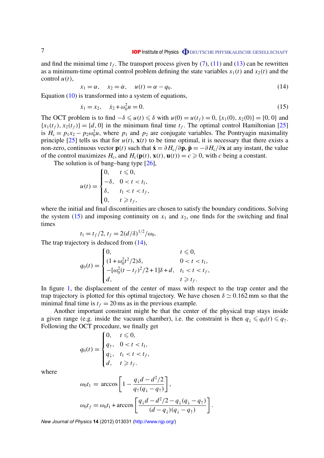and find the minimal time  $t_f$ . The transport process given by  $(7)$ ,  $(11)$  and  $(13)$  can be rewritten as a minimum-time optimal control problem defining the state variables  $x_1(t)$  and  $x_2(t)$  and the control  $u(t)$ ,

$$
x_1 = \alpha, \quad x_2 = \dot{\alpha}, \quad u(t) = \alpha - q_0. \tag{14}
$$

Equation [\(10\)](#page-3-0) is transformed into a system of equations,

$$
\dot{x}_1 = x_2, \quad \dot{x}_2 + \omega_0^2 u = 0. \tag{15}
$$

The OCT problem is to find  $-\delta \leq u(t) \leq \delta$  with  $u(0) = u(t_f) = 0$ ,  $\{x_1(0), x_2(0)\} = \{0, 0\}$  and  ${x_1(t_f), x_2(t_f)} = {d, 0}$  in the minimum final time  $t_f$ . The optimal control Hamiltonian [\[25\]](#page-10-0) is  $H_c = p_1 x_2 - p_2 \omega_0^2 u$ , where  $p_1$  and  $p_2$  are conjugate variables. The Pontryagin maximality principle [\[25\]](#page-10-0) tells us that for  $u(t)$ ,  $\mathbf{x}(t)$  to be time optimal, it is necessary that there exists a non-zero, continuous vector **p**(*t*) such that  $\dot{\mathbf{x}} = \partial H_c/\partial \mathbf{p}$ ,  $\dot{\mathbf{p}} = -\partial H_c/\partial \mathbf{x}$  at any instant, the value of the control maximizes  $H_c$ , and  $H_c(\mathbf{p}(t), \mathbf{x}(t), \mathbf{u}(t)) = c \ge 0$ , with *c* being a constant.

The solution is of bang–bang type [\[26\]](#page-10-0),

$$
u(t) = \begin{cases} 0, & t \le 0, \\ -\delta, & 0 < t < t_1, \\ \delta, & t_1 < t < t_f, \\ 0, & t \ge t_f, \end{cases}
$$

where the initial and final discontinuities are chosen to satisfy the boundary conditions. Solving the system  $(15)$  and imposing continuity on  $x_1$  and  $x_2$ , one finds for the switching and final times

$$
t_1 = t_f/2, t_f = 2(d/\delta)^{1/2}/\omega_0.
$$

The trap trajectory is deduced from  $(14)$ ,

$$
q_0(t) = \begin{cases} 0, & t \leq 0, \\ (1 + \omega_0^2 t^2 / 2)\delta, & 0 < t < t_1, \\ -[\omega_0^2 (t - t_f)^2 / 2 + 1]\delta + d, & t_1 < t < t_f, \\ d, & t \geq t_f. \end{cases}
$$

In figure [1,](#page-5-0) the displacement of the center of mass with respect to the trap center and the trap trajectory is plotted for this optimal trajectory. We have chosen  $\delta \simeq 0.162$  mm so that the minimal final time is  $t_f = 20$  ms as in the previous example.

Another important constraint might be that the center of the physical trap stays inside a given range (e.g. inside the vacuum chamber), i.e. the constraint is then  $q_{\perp} \leq q_0(t) \leq q_{\uparrow}$ . Following the OCT procedure, we finally get

$$
q_0(t) = \begin{cases} 0, & t \leq 0, \\ q_{\uparrow}, & 0 < t < t_1, \\ q_{\downarrow}, & t_1 < t < t_f, \\ d, & t \geq t_f. \end{cases}
$$

where

$$
\omega_0 t_1 = \arccos\left[1 - \frac{q_{\downarrow} d - d^2/2}{q_{\uparrow} (q_{\downarrow} - q_{\uparrow})}\right],
$$
  

$$
\omega_0 t_f = \omega_0 t_1 + \arccos\left[\frac{q_{\downarrow} d - d^2/2 - q_{\downarrow} (q_{\downarrow} - q_{\uparrow})}{(d - q_{\downarrow}) (q_{\downarrow} - q_{\uparrow})}\right].
$$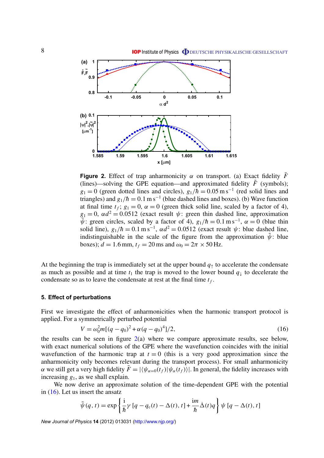<span id="page-7-0"></span>

**Figure 2.** Effect of trap anharmonicity  $\alpha$  on transport. (a) Exact fidelity  $\overline{F}$ (lines)—solving the GPE equation—and approximated fidelity  $\ddot{F}$  (symbols);  $g_1 = 0$  (green dotted lines and circles),  $g_1/\hbar = 0.05$  m s<sup>-1</sup> (red solid lines and triangles) and  $g_1/h = 0.1 \text{ m s}^{-1}$  (blue dashed lines and boxes). (b) Wave function at final time  $t_f$ ;  $g_1 = 0$ ,  $\alpha = 0$  (green thick solid line, scaled by a factor of 4),  $g_1 = 0$ ,  $\alpha d^2 = 0.0512$  (exact result  $\psi$ : green thin dashed line, approximation  $\psi$ : green circles, scaled by a factor of 4),  $g_1/\hbar = 0.1 \text{ m s}^{-1}$ ,  $\alpha = 0$  (blue thin solid line),  $g_1/\hbar = 0.1 \text{ m s}^{-1}$ ,  $\alpha d^2 = 0.0512$  (exact result  $\psi$ : blue dashed line, indistinguishable in the scale of the figure from the approximation  $\tilde{\psi}$ : blue boxes);  $d = 1.6$  mm,  $t_f = 20$  ms and  $\omega_0 = 2\pi \times 50$  Hz.

At the beginning the trap is immediately set at the upper bound  $q<sub>†</sub>$  to accelerate the condensate as much as possible and at time  $t_1$  the trap is moved to the lower bound  $q_{\perp}$  to decelerate the condensate so as to leave the condensate at rest at the final time  $t_f$ .

#### **5. Effect of perturbations**

First we investigate the effect of anharmonicities when the harmonic transport protocol is applied. For a symmetrically perturbed potential

$$
V = \omega_0^2 m [(q - q_0)^2 + \alpha (q - q_0)^4]/2,
$$
\n(16)

the results can be seen in figure  $2(a)$  where we compare approximate results, see below, with exact numerical solutions of the GPE where the wavefunction coincides with the initial wavefunction of the harmonic trap at  $t = 0$  (this is a very good approximation since the anharmonicity only becomes relevant during the transport process). For small anharmonicity  $\alpha$  we still get a very high fidelity  $\bar{F} = |\langle \psi_{\alpha=0}(t_f)|\psi_{\alpha}(t_f)\rangle|$ . In general, the fidelity increases with increasing *g*1, as we shall explain.

We now derive an approximate solution of the time-dependent GPE with the potential in (16). Let us insert the ansatz

$$
\tilde{\psi}(q,t) = \exp\left\{\frac{i}{\hbar}\gamma \left[ q - q_c(t) - \Delta(t), t \right] + \frac{i m}{\hbar} \dot{\Delta}(t) q \right\} \psi \left[ q - \Delta(t), t \right]
$$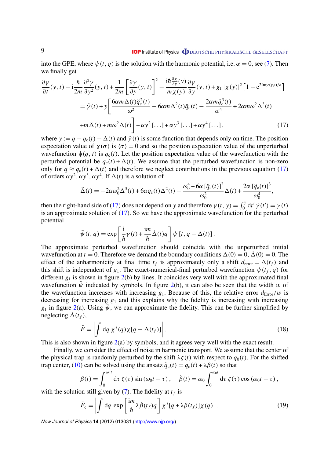<span id="page-8-0"></span>into the GPE, where  $\psi(t, q)$  is the solution with the harmonic potential, i.e.  $\alpha = 0$ , see [\(7\)](#page-3-0). Then we finally get

$$
\frac{\partial \gamma}{\partial t}(y, t) - i \frac{\hbar}{2m} \frac{\partial^2 \gamma}{\partial y^2}(y, t) + \frac{1}{2m} \left[ \frac{\partial \gamma}{\partial y}(y, t) \right]^2 - \frac{i\hbar \frac{\partial \chi}{\partial y}(y)}{m\chi(y)} \frac{\partial \gamma}{\partial y}(y, t) + g_1 |\chi(y)|^2 \left[ 1 - e^{2\text{Im}\gamma(y, t)/\hbar} \right]
$$

$$
= \tilde{\gamma}(t) + y \left[ \frac{6\alpha m \Delta(t)\ddot{q}_c^2(t)}{\omega^2} - 6\alpha m \Delta^2(t)\ddot{q}_c(t) - \frac{2\alpha m \ddot{q}_c^3(t)}{\omega^4} + 2\alpha m \omega^2 \Delta^3(t) + m\ddot{\Delta}(t) + m\omega^2 \Delta(t) \right] + \alpha y^2 [\dots] + \alpha y^3 [\dots] + \alpha y^4 [\dots], \tag{17}
$$

where  $y := q - q_c(t) - \Delta(t)$  and  $\tilde{\gamma}(t)$  is some function that depends only on time. The position expectation value of  $\chi(\sigma)$  is  $\langle \sigma \rangle = 0$  and so the position expectation value of the unperturbed wavefunction  $\psi(q, t)$  is  $q_c(t)$ . Let the position expectation value of the wavefunction with the perturbed potential be  $q_c(t) + \Delta(t)$ . We assume that the perturbed wavefunction is non-zero only for  $q \approx q_c(t) + \Delta(t)$  and therefore we neglect contributions in the previous equation (17) of orders  $\alpha y^2$ ,  $\alpha y^3$ ,  $\alpha y^4$ . If  $\Delta(t)$  is a solution of

$$
\ddot{\Delta}(t) = -2\alpha\omega_0^2 \Delta^3(t) + 6\alpha \ddot{q}_c(t) \Delta^2(t) - \frac{\omega_0^4 + 6\alpha \left[\ddot{q}_c(t)\right]^2}{\omega_0^2} \Delta(t) + \frac{2\alpha \left[\ddot{q}_c(t)\right]^3}{\omega_0^4},
$$

then the right-hand side of (17) does not depend on *y* and therefore  $\gamma(t, y) = \int_0^y dt' \tilde{\gamma}(t') = \gamma(t)$ is an approximate solution of  $(17)$ . So we have the approximate wavefunction for the perturbed potential

$$
\tilde{\psi}(t, q) = \exp\left[\frac{i}{\hbar}\gamma(t) + \frac{i m}{\hbar} \dot{\Delta}(t)q\right] \psi[t, q - \Delta(t)].
$$

The approximate perturbed wavefunction should coincide with the unperturbed initial wavefunction at  $t = 0$ . Therefore we demand the boundary conditions  $\Delta(0) = 0$ ,  $\dot{\Delta}(0) = 0$ . The effect of the anharmonicity at final time  $t_f$  is approximately only a shift  $d_{\text{error}} = \Delta(t_f)$  and this shift is independent of  $g_1$ . The exact-numerical-final perturbed wavefunction  $\psi(t_f, q)$  for different  $g_1$  is shown in figure  $2(b)$  $2(b)$  by lines. It coincides very well with the approximated final wavefunction  $\tilde{\psi}$  indicated by symbols. In figure [2\(](#page-7-0)b), it can also be seen that the width w of the wavefunction increases with increasing  $g_1$ . Because of this, the relative error  $d_{\text{Error}}/w$  is decreasing for increasing  $g_1$  and this explains why the fidelity is increasing with increasing  $g_1$  in figure [2\(](#page-7-0)a). Using  $\tilde{\psi}$ , we can approximate the fidelity. This can be further simplified by neglecting  $\dot{\Delta}(t_f)$ ,

$$
\tilde{F} = \left| \int dq \ \chi^*(q) \chi[q - \Delta(t_f)] \right|.
$$
\n(18)

This is also shown in figure  $2(a)$  $2(a)$  by symbols, and it agrees very well with the exact result.

Finally, we consider the effect of noise in harmonic transport. We assume that the center of the physical trap is randomly perturbed by the shift  $\lambda \zeta(t)$  with respect to  $q_0(t)$ . For the shifted trap center, [\(10\)](#page-3-0) can be solved using the ansatz  $\tilde{q}_c(t) = q_c(t) + \lambda \beta(t)$  so that

$$
\beta(t) = \int_0^{\omega_0 t} d\tau \zeta(\tau) \sin(\omega_0 t - \tau), \quad \dot{\beta}(t) = \omega_0 \int_0^{\omega_0 t} d\tau \zeta(\tau) \cos(\omega_0 t - \tau),
$$

with the solution still given by  $(7)$ . The fidelity at  $t_f$  is

$$
\bar{F}_{\zeta} = \left| \int dq \exp\left[\frac{im}{\hbar} \lambda \dot{\beta}(t_f) q\right] \chi^* [q + \lambda \beta(t_f)] \chi(q) \right|.
$$
 (19)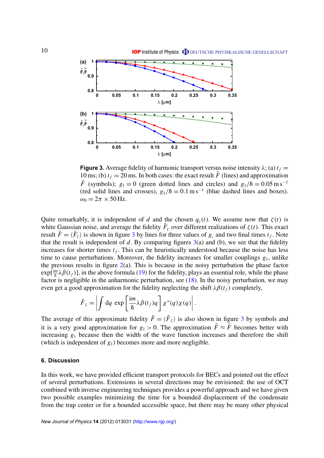<span id="page-9-0"></span>

**Figure 3.** Average fidelity of harmonic transport versus noise intensity  $\lambda$ ; (a)  $t_f$  = 10 ms; (b)  $t_f = 20$  ms. In both cases: the exact result  $\bar{F}$  (lines) and approximation  $\tilde{F}$  (symbols);  $g_1 = 0$  (green dotted lines and circles) and  $g_1/\hbar = 0.05 \text{ m s}^{-1}$ (red solid lines and crosses),  $g_1/\hbar = 0.1 \text{ m s}^{-1}$  (blue dashed lines and boxes).  $\omega_0 = 2\pi \times 50$  Hz.

Quite remarkably, it is independent of *d* and the chosen  $q_c(t)$ . We assume now that  $\zeta(t)$  is white Gaussian noise, and average the fidelity  $\bar{F}_{\zeta}$  over different realizations of  $\zeta(t)$ . This exact result  $\bar{F} = \langle \bar{F}_{\zeta} \rangle$  is shown in figure 3 by lines for three values of  $g_1$  and two final times  $t_f$ . Note that the result is independent of  $d$ . By comparing figures  $3(a)$  and (b), we see that the fidelity increases for shorter times  $t_f$ . This can be heuristically understood because the noise has less time to cause perturbations. Moreover, the fidelity increases for smaller couplings  $g_1$ , unlike the previous results in figure  $2(a)$  $2(a)$ . This is because in the noisy perturbation the phase factor  $exp[\frac{im}{\hbar}\lambda\hat{\beta}(t_f)]$ , in the above formula [\(19\)](#page-8-0) for the fidelity, plays an essential role, while the phase factor is negligible in the anharmonic perturbation, see [\(18\)](#page-8-0). In the noisy perturbation, we may even get a good approximation for the fidelity neglecting the shift  $\lambda \beta(t_f)$  completely,

$$
\tilde{F}_{\zeta} = \left| \int dq \exp \left[ \frac{im}{\hbar} \lambda \dot{\beta}(t_f) q \right] \chi^*(q) \chi(q) \right|.
$$

The average of this approximate fidelity  $\tilde{F} = \langle \tilde{F}_{\zeta} \rangle$  is also shown in figure 3 by symbols and it is a very good approximation for  $g_1 > 0$ . The approximation  $\tilde{F} \approx \bar{F}$  becomes better with increasing  $g_1$  because then the width of the wave function increases and therefore the shift (which is independent of  $g_1$ ) becomes more and more negligible.

### **6. Discussion**

In this work, we have provided efficient transport protocols for BECs and pointed out the effect of several perturbations. Extensions in several directions may be envisioned: the use of OCT combined with inverse engineering techniques provides a powerful approach and we have given two possible examples minimizing the time for a bounded displacement of the condensate from the trap center or for a bounded accessible space, but there may be many other physical